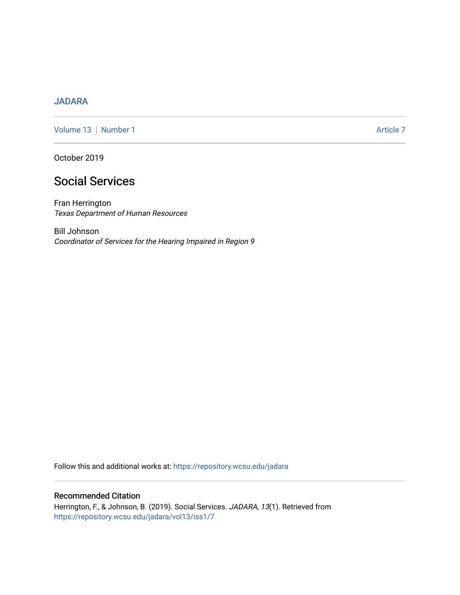# [JADARA](https://repository.wcsu.edu/jadara)

[Volume 13](https://repository.wcsu.edu/jadara/vol13) | [Number 1](https://repository.wcsu.edu/jadara/vol13/iss1) Article 7

October 2019

# Social Services

Fran Herrington Texas Department of Human Resources

Bill Johnson Coordinator of Services for the Hearing Impaired in Region 9

Follow this and additional works at: [https://repository.wcsu.edu/jadara](https://repository.wcsu.edu/jadara?utm_source=repository.wcsu.edu%2Fjadara%2Fvol13%2Fiss1%2F7&utm_medium=PDF&utm_campaign=PDFCoverPages)

## Recommended Citation

Herrington, F., & Johnson, B. (2019). Social Services. JADARA, 13(1). Retrieved from [https://repository.wcsu.edu/jadara/vol13/iss1/7](https://repository.wcsu.edu/jadara/vol13/iss1/7?utm_source=repository.wcsu.edu%2Fjadara%2Fvol13%2Fiss1%2F7&utm_medium=PDF&utm_campaign=PDFCoverPages)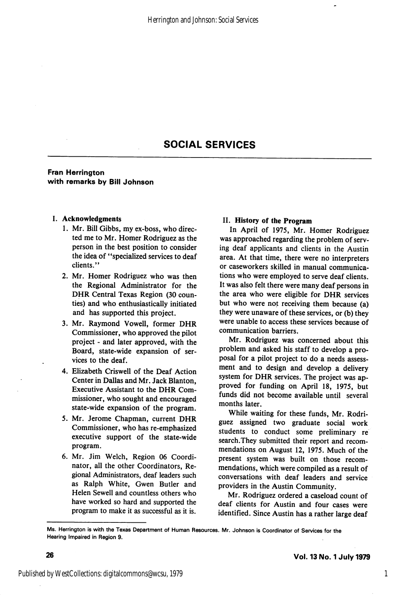## SOCIAL SERVICES

## Fran Harrington with remarks by Bill Johnson

#### I. Acknowledgments

- 1. Mr. Bill Gibbs, my ex-boss, who direc ted me to Mr. Homer Rodriguez as the person in the best position to consider the idea of ^'specialized services to deaf clients."
- 2. Mr. Homer Rodriguez who was then the Regional Administrator for the DHR Central Texas Region (30 coun ties) and who enthusiastically initiated and has supported this project.
- 3. Mr. Raymond Vowell, former DHR Commissioner, who approved the pilot project - and later approved, with the Board, state-wide expansion of ser vices to the deaf.
- 4. Elizabeth Criswell of the Deaf Action Center in Dallas and Mr. Jack Blanton, Executive Assistant to the DHR Com missioner, who sought and encouraged state-wide expansion of the program.
- 5. Mr. Jerome Chapman, current DHR Commissioner, who has re-emphasized executive support of the state-wide program.
- 6. Mr. Jim Welch, Region 06 Coordi nator, all the other Coordinators, Re gional Administrators, deaf leaders such as Ralph White, Owen Butler and Helen Sewell and countless others who have worked so hard and supported the program to make it as successful as it is.

### II. History of the Program

In April of 1975, Mr. Homer Rodriguez was approached regarding the problem of serv ing deaf applicants and clients in the Austin area. At that time, there were no interpreters or caseworkers skilled in manual communica tions who were employed to serve deaf clients. It was also felt there were many deaf persons in the area who were eligible for DHR services but who were not receiving them because (a) they were unaware of these services, or (b) they were unable to access these services because of communication barriers.

Mr. Rodriguez was concerned about this problem and asked his staff to develop a pro posal for a pilot project to do a needs assess ment and to design and develop a delivery system for DHR services. The project was ap proved for funding on April 18, 1975, but funds did not become available until several months later.

While waiting for these funds, Mr. Rodri guez assigned two graduate social work students to conduct some preliminary re search.They submitted their report and recom mendations on August 12, 1975. Much of the present system was built on those recom mendations, which were compiled as a result of conversations with deaf leaders and service providers in the Austin Community.

Mr. Rodriguez ordered a caseload count of deaf clients for Austin and four cases were identified. Since Austin has a rather large deaf

Ms. Herrlngton is with the Texas Department of Human Resources. Mr. Johnson is Coordinator of Services for the Hearing Impaired in Region 9.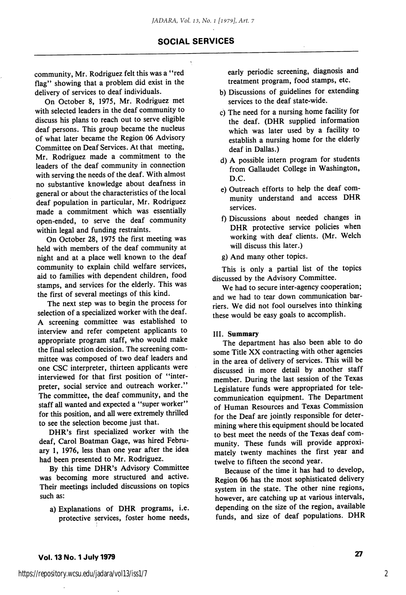with selected leaders in the deaf community to discuss his plans to reach out to serve eligible deaf persons. This group became the nucleus of what later became the Region 06 Advisory Committee on Deaf Services. At that meeting, Mr. Rodriguez made a commitment to the leaders of the deaf community in connection with serving the needs of the deaf. With almost no substantive knowledge about deafness in general or about the characteristics of the local deaf population in particular, Mr. Rodriguez made a commitment which was essentially open-ended, to serve the deaf community within legal and funding restraints.

community, Mr. Rodriguez felt this was a "red flag" showing that a problem did exist in the delivery of services to deaf individuals.

On October 8, 1975, Mr. Rodriguez met

On October 28, 1975 the first meeting was held with members of the deaf community at night and at a place well known to the deaf community to explain child welfare services, aid to families with dependent children, food stamps, and services for the elderly. This was the first of several meetings of this kind.

The next step was to begin the process for selection of a specialized worker with the deaf. A screening committee was established to interview and refer competent applicants to appropriate program staff, who would make the final selection decision. The screening com mittee was composed of two deaf leaders and one CSC interpreter, thirteen applicants were interviewed for that first position of "interpreter, social service and outreach worker." The committee, the deaf community, and the staff all wanted and expected a "super worker" for this position, and all were extremely thrilled to see the selection become just that.

DHR's first specialized worker with the deaf, Carol Boatman Gage, was hired Febru ary 1, 1976, less than one year after the idea had been presented to Mr. Rodriguez.

By this time DHR's Advisory Committee was becoming more structured and active. Their meetings included discussions on topics such as:

a) Explanations of DHR programs, i.e. protective services, foster home needs. early periodic screening, diagnosis and treatment program, food stamps, etc.

- b) Discussions of guidelines for extending services to the deaf state-wide.
- c) The need for a nursing home facility for the deaf. (DHR supplied information which was later used by a facility to establish a nursing home for the elderly deaf in Dallas.)
- d) A possible intern program for students from Gallaudet College in Washington, D.C.
- e) Outreach efforts to help the deaf com munity understand and access DHR services.
- f) Discussions about needed changes in DHR protective service policies when working with deaf clients. (Mr. Welch will discuss this later.)
- g) And many other topics.

This is only a partial list of the topics discussed by the Advisory Committee.

We had to secure inter-agency cooperation; and we had to tear down communication bar riers. We did not fool ourselves into thinking these would be easy goals to accomplish.

#### III. Summary

The department has also been able to do some Title XX contracting with other agencies in the area of delivery of services. This will be discussed in more detail by another staff member. During the last session of the Texas Legislature funds were appropriated for tele communication equipment. The Department of Human Resources and Texas Commission for the Deaf are jointly responsible for deter mining where this equipment should be located to best meet the needs of the Texas deaf com munity. These funds will provide approxi mately twenty machines the first year and twelve to fifteen the second year.

Because of the time it has had to develop. Region 06 has the most sophisticated delivery system in the state. The other nine regions, however, are catching up at various intervals, depending on the size of the region, available funds, and size of deaf populations. DHR

2

SOCIAL SERVICES